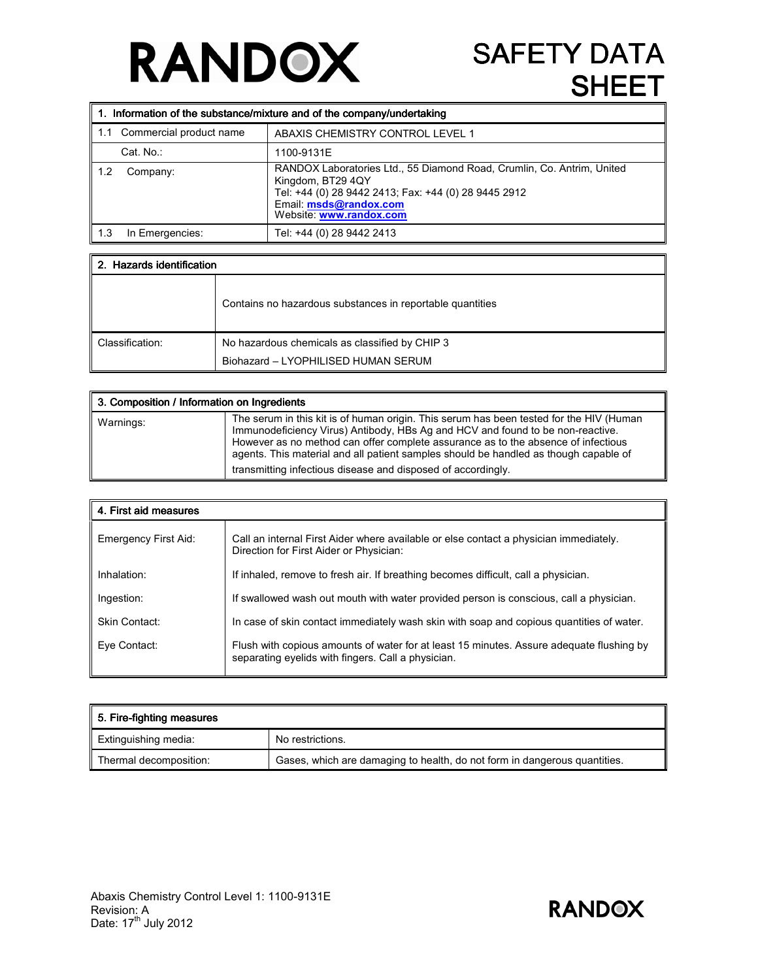## **RANDOX**

## **SAFETY DATA** SHEET

|             | 1. Information of the substance/mixture and of the company/undertaking |                                                                                                                                                                                                          |  |
|-------------|------------------------------------------------------------------------|----------------------------------------------------------------------------------------------------------------------------------------------------------------------------------------------------------|--|
| l 1.1       | Commercial product name                                                | ABAXIS CHEMISTRY CONTROL LEVEL 1                                                                                                                                                                         |  |
|             | Cat. No.:                                                              | 1100-9131E                                                                                                                                                                                               |  |
| 1.2         | Company:                                                               | RANDOX Laboratories Ltd., 55 Diamond Road, Crumlin, Co. Antrim, United<br>Kingdom, BT29 4QY<br>Tel: +44 (0) 28 9442 2413; Fax: +44 (0) 28 9445 2912<br>Email: msds@randox.com<br>Website: www.randox.com |  |
| $\vert$ 1.3 | In Emergencies:                                                        | Tel: +44 (0) 28 9442 2413                                                                                                                                                                                |  |

| 2. Hazards identification |                                                           |  |
|---------------------------|-----------------------------------------------------------|--|
|                           | Contains no hazardous substances in reportable quantities |  |
| Classification:           | No hazardous chemicals as classified by CHIP 3            |  |
|                           | Biohazard - LYOPHILISED HUMAN SERUM                       |  |

| 3. Composition / Information on Ingredients |                                                                                                                                                                                                                                                                                                                                                                                                                        |
|---------------------------------------------|------------------------------------------------------------------------------------------------------------------------------------------------------------------------------------------------------------------------------------------------------------------------------------------------------------------------------------------------------------------------------------------------------------------------|
| Warnings:                                   | The serum in this kit is of human origin. This serum has been tested for the HIV (Human<br>Immunodeficiency Virus) Antibody, HBs Ag and HCV and found to be non-reactive.<br>However as no method can offer complete assurance as to the absence of infectious<br>agents. This material and all patient samples should be handled as though capable of<br>transmitting infectious disease and disposed of accordingly. |

| 4. First aid measures |                                                                                                                                                |  |
|-----------------------|------------------------------------------------------------------------------------------------------------------------------------------------|--|
| Emergency First Aid:  | Call an internal First Aider where available or else contact a physician immediately.<br>Direction for First Aider or Physician:               |  |
| Inhalation:           | If inhaled, remove to fresh air. If breathing becomes difficult, call a physician.                                                             |  |
| Ingestion:            | If swallowed wash out mouth with water provided person is conscious, call a physician.                                                         |  |
| Skin Contact:         | In case of skin contact immediately wash skin with soap and copious quantities of water.                                                       |  |
| Eye Contact:          | Flush with copious amounts of water for at least 15 minutes. Assure adequate flushing by<br>separating eyelids with fingers. Call a physician. |  |

| 5. Fire-fighting measures |                                                                           |  |
|---------------------------|---------------------------------------------------------------------------|--|
| Extinguishing media:      | No restrictions.                                                          |  |
| Thermal decomposition:    | Gases, which are damaging to health, do not form in dangerous quantities. |  |

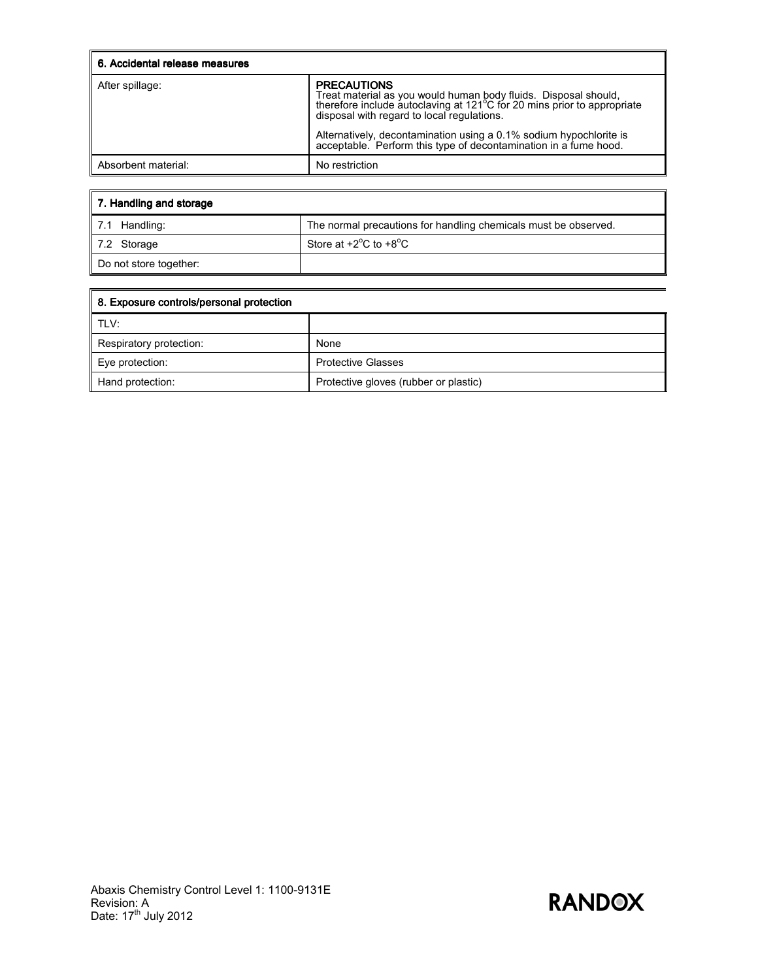| 6. Accidental release measures |                                                                                                                                                                                                                                                                                                                                                          |
|--------------------------------|----------------------------------------------------------------------------------------------------------------------------------------------------------------------------------------------------------------------------------------------------------------------------------------------------------------------------------------------------------|
| After spillage:                | <b>PRECAUTIONS</b><br>Treat material as you would human body fluids. Disposal should,<br>therefore include autoclaving at 121°C for 20 mins prior to appropriate<br>disposal with regard to local regulations.<br>Alternatively, decontamination using a 0.1% sodium hypochlorite is<br>acceptable. Perform this type of decontamination in a fume hood. |
| Absorbent material:            | No restriction                                                                                                                                                                                                                                                                                                                                           |

| 7. Handling and storage |                                                                 |  |
|-------------------------|-----------------------------------------------------------------|--|
| l 7.1<br>Handling:      | The normal precautions for handling chemicals must be observed. |  |
| 7.2 Storage             | Store at $+2^{\circ}$ C to $+8^{\circ}$ C                       |  |
| Do not store together:  |                                                                 |  |

| 8. Exposure controls/personal protection |                                       |  |
|------------------------------------------|---------------------------------------|--|
| i tlv:                                   |                                       |  |
| Respiratory protection:                  | None                                  |  |
| Eye protection:                          | <b>Protective Glasses</b>             |  |
| Hand protection:                         | Protective gloves (rubber or plastic) |  |

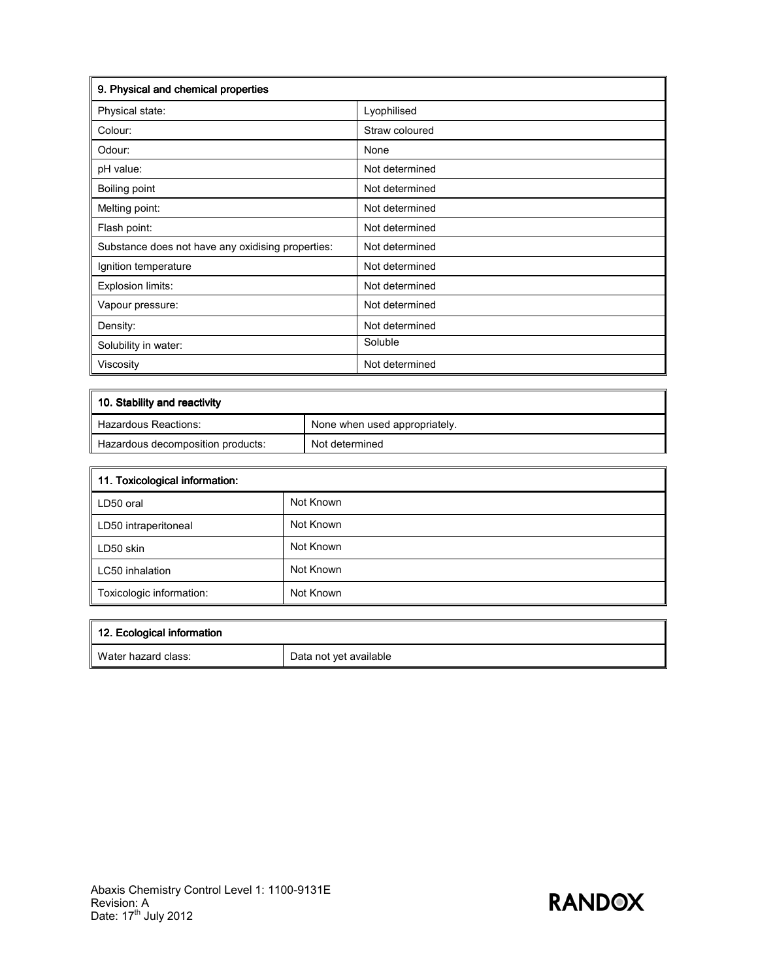| 9. Physical and chemical properties               |                |  |
|---------------------------------------------------|----------------|--|
| Physical state:                                   | Lyophilised    |  |
| Colour:                                           | Straw coloured |  |
| Odour:                                            | None           |  |
| pH value:                                         | Not determined |  |
| Boiling point                                     | Not determined |  |
| Melting point:                                    | Not determined |  |
| Flash point:                                      | Not determined |  |
| Substance does not have any oxidising properties: | Not determined |  |
| Ignition temperature                              | Not determined |  |
| Explosion limits:                                 | Not determined |  |
| Vapour pressure:                                  | Not determined |  |
| Density:                                          | Not determined |  |
| Solubility in water:                              | Soluble        |  |
| Viscosity                                         | Not determined |  |

| 10. Stability and reactivity      |                               |  |
|-----------------------------------|-------------------------------|--|
| Hazardous Reactions:              | None when used appropriately. |  |
| Hazardous decomposition products: | Not determined                |  |

| 11. Toxicological information: |           |  |
|--------------------------------|-----------|--|
| LD50 oral                      | Not Known |  |
| LD50 intraperitoneal           | Not Known |  |
| LD50 skin                      | Not Known |  |
| LC50 inhalation                | Not Known |  |
| Toxicologic information:       | Not Known |  |

| 12. Ecological information |                        |
|----------------------------|------------------------|
| Water hazard class:        | Data not yet available |